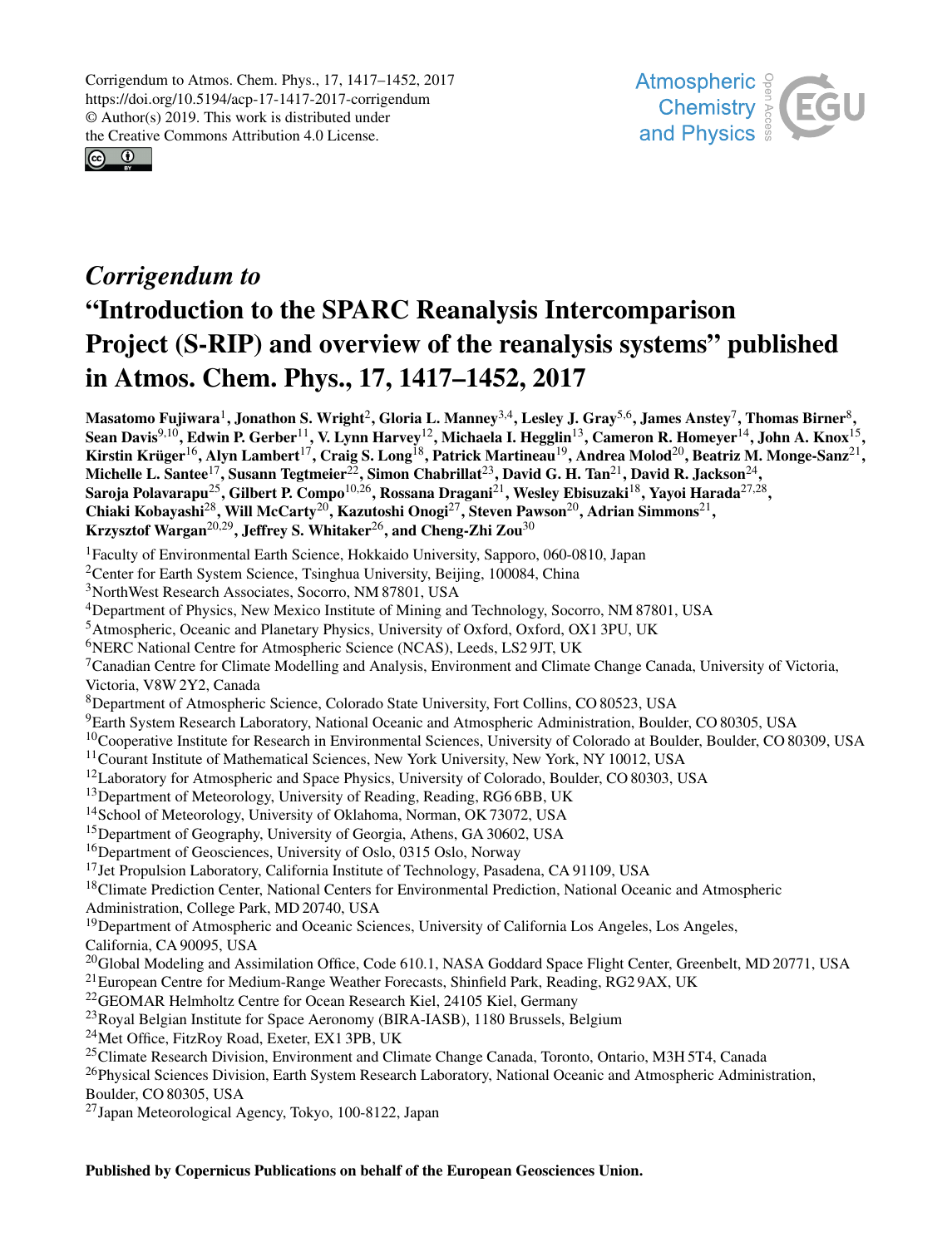Corrigendum to Atmos. Chem. Phys., 17, 1417–1452, 2017 https://doi.org/10.5194/acp-17-1417-2017-corrigendum © Author(s) 2019. This work is distributed under the Creative Commons Attribution 4.0 License.





## *Corrigendum to* "Introduction to the SPARC Reanalysis Intercomparison Project (S-RIP) and overview of the reanalysis systems" published in Atmos. Chem. Phys., 17, 1417–1452, 2017

Masatomo Fujiwara $^1$  $^1$ , Jonathon S. Wright $^2$  $^2$ , Gloria L. Manney $^{3,4}$  $^{3,4}$  $^{3,4}$ , Lesley J. Gray $^{5,6}$  $^{5,6}$  $^{5,6}$ , James Anstey $^7$  $^7$ , Thomas Birner $^8$  $^8$ , Sean Davis $^{9,10}$  $^{9,10}$  $^{9,10}$ , Edwin P. Gerber $^{11}$  $^{11}$  $^{11}$ , V. Lynn Harvey $^{12}$  $^{12}$  $^{12}$ , Michaela I. Hegglin $^{13}$  $^{13}$  $^{13}$ , Cameron R. Homeyer $^{14}$  $^{14}$  $^{14}$ , John A. Knox $^{15}$  $^{15}$  $^{15}$ , Kirstin Krüger $^{16}$  $^{16}$  $^{16}$ , Alyn Lambert $^{17}$  $^{17}$  $^{17}$ , Craig S. Long $^{18}$  $^{18}$  $^{18}$ , Patrick Martineau $^{19}$  $^{19}$  $^{19}$ , Andrea Molod $^{20}$  $^{20}$  $^{20}$ , Beatriz M. Monge-Sanz $^{21},$  $^{21},$  $^{21},$ Michelle L. Santee $^{17}$  $^{17}$  $^{17}$ , Susann Tegtmeier $^{22}$  $^{22}$  $^{22}$ , Simon Chabrillat $^{23}$  $^{23}$  $^{23}$ , David G. H. Tan $^{21}$  $^{21}$  $^{21}$ , David R. Jackson $^{24},$  $^{24},$  $^{24},$ Saroja Polavarapu $^{25}$  $^{25}$  $^{25}$ , Gilbert P. Compo $^{10,26}$  $^{10,26}$  $^{10,26}$ , Rossana Dragani $^{21}$  $^{21}$  $^{21}$ , Wesley Ebisuzaki $^{18}$  $^{18}$  $^{18}$ , Yayoi Harada $^{27,28},$  $^{27,28},$  $^{27,28},$ Chiaki Kobayashi<sup>[28](#page-0-0)</sup>, Will McCarty<sup>[20](#page-0-0)</sup>, Kazutoshi Onogi<sup>[27](#page-0-0)</sup>, Steven Pawson<sup>20</sup>, Adrian Simmons<sup>[21](#page-0-0)</sup>, Krzysztof Wargan<sup>[20,29](#page-0-0)</sup>, Jeffrey S. Whitaker<sup>[26](#page-0-0)</sup>, and Cheng-Zhi Zou<sup>[30](#page-0-0)</sup>

<sup>1</sup>Faculty of Environmental Earth Science, Hokkaido University, Sapporo, 060-0810, Japan

- <sup>2</sup>Center for Earth System Science, Tsinghua University, Beijing, 100084, China
- <sup>3</sup>NorthWest Research Associates, Socorro, NM 87801, USA
- <sup>4</sup>Department of Physics, New Mexico Institute of Mining and Technology, Socorro, NM 87801, USA

<sup>5</sup>Atmospheric, Oceanic and Planetary Physics, University of Oxford, Oxford, OX1 3PU, UK

<sup>6</sup>NERC National Centre for Atmospheric Science (NCAS), Leeds, LS2 9JT, UK

 $7$ Canadian Centre for Climate Modelling and Analysis, Environment and Climate Change Canada, University of Victoria, Victoria, V8W 2Y2, Canada

<sup>8</sup>Department of Atmospheric Science, Colorado State University, Fort Collins, CO 80523, USA

<sup>9</sup>Earth System Research Laboratory, National Oceanic and Atmospheric Administration, Boulder, CO 80305, USA

- <sup>10</sup>Cooperative Institute for Research in Environmental Sciences, University of Colorado at Boulder, Boulder, CO 80309, USA
- <sup>11</sup>Courant Institute of Mathematical Sciences, New York University, New York, NY 10012, USA
- $12$ Laboratory for Atmospheric and Space Physics, University of Colorado, Boulder, CO 80303, USA

 $13$ Department of Meteorology, University of Reading, Reading, RG6 6BB, UK

<sup>14</sup>School of Meteorology, University of Oklahoma, Norman, OK 73072, USA

<sup>15</sup>Department of Geography, University of Georgia, Athens, GA 30602, USA

<sup>16</sup>Department of Geosciences, University of Oslo, 0315 Oslo, Norway

<sup>17</sup>Jet Propulsion Laboratory, California Institute of Technology, Pasadena, CA 91109, USA

<sup>18</sup>Climate Prediction Center, National Centers for Environmental Prediction, National Oceanic and Atmospheric

Administration, College Park, MD 20740, USA

<sup>19</sup>Department of Atmospheric and Oceanic Sciences, University of California Los Angeles, Los Angeles,

California, CA 90095, USA

<sup>20</sup>Global Modeling and Assimilation Office, Code 610.1, NASA Goddard Space Flight Center, Greenbelt, MD 20771, USA

<sup>21</sup> European Centre for Medium-Range Weather Forecasts, Shinfield Park, Reading, RG2 9AX, UK

<sup>22</sup>GEOMAR Helmholtz Centre for Ocean Research Kiel, 24105 Kiel, Germany

<sup>23</sup>Royal Belgian Institute for Space Aeronomy (BIRA-IASB), 1180 Brussels, Belgium

<span id="page-0-0"></span><sup>24</sup>Met Office, FitzRoy Road, Exeter, EX1 3PB, UK

<sup>25</sup>Climate Research Division, Environment and Climate Change Canada, Toronto, Ontario, M3H 5T4, Canada

<sup>26</sup>Physical Sciences Division, Earth System Research Laboratory, National Oceanic and Atmospheric Administration, Boulder, CO 80305, USA

<sup>27</sup>Japan Meteorological Agency, Tokyo, 100-8122, Japan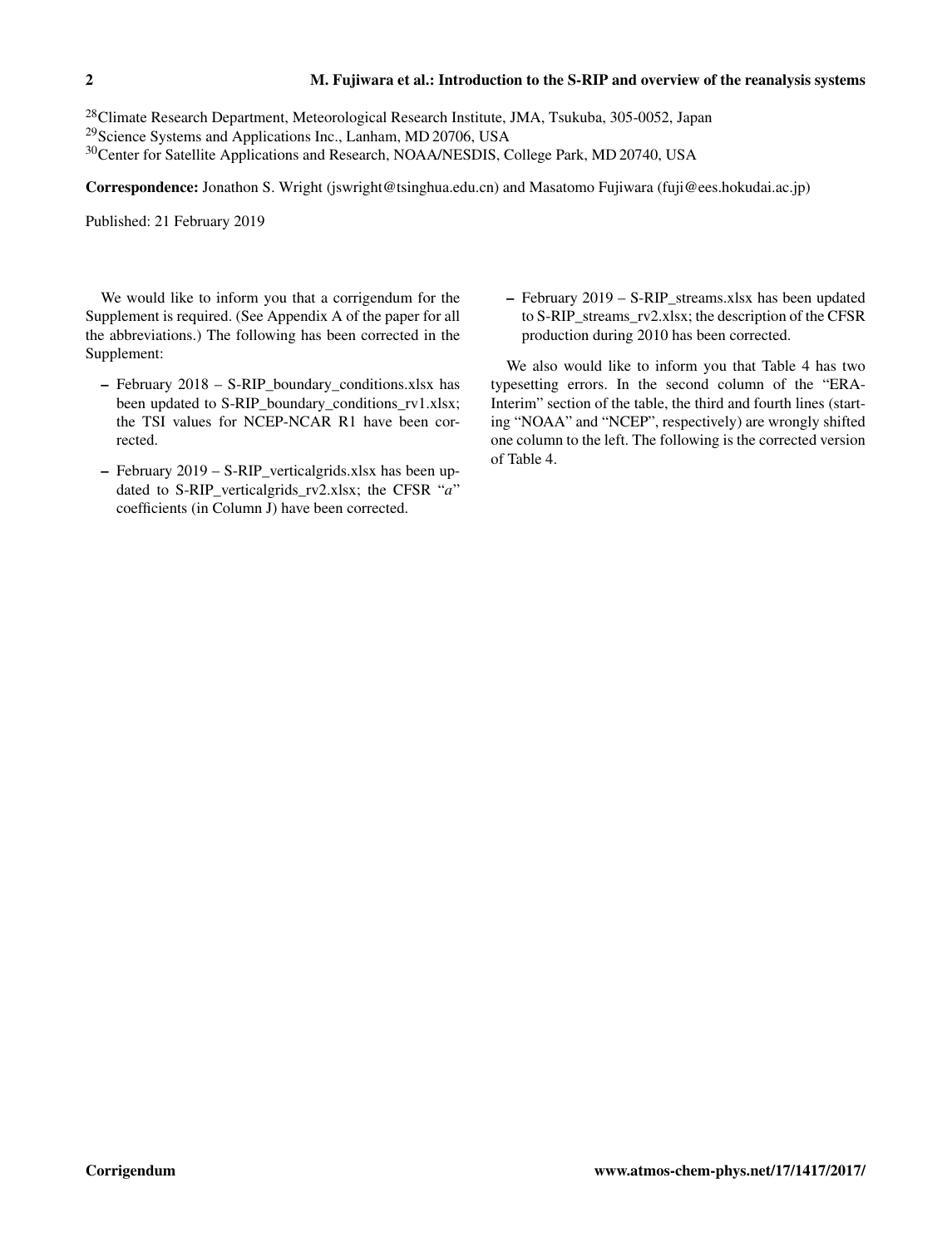<sup>28</sup>Climate Research Department, Meteorological Research Institute, JMA, Tsukuba, 305-0052, Japan <sup>29</sup>Science Systems and Applications Inc., Lanham, MD 20706, USA

<sup>30</sup>Center for Satellite Applications and Research, NOAA/NESDIS, College Park, MD 20740, USA

Correspondence: Jonathon S. Wright (jswright@tsinghua.edu.cn) and Masatomo Fujiwara (fuji@ees.hokudai.ac.jp)

Published: 21 February 2019

We would like to inform you that a corrigendum for the Supplement is required. (See Appendix A of the paper for all the abbreviations.) The following has been corrected in the Supplement:

- February 2018 S-RIP\_boundary\_conditions.xlsx has been updated to S-RIP\_boundary\_conditions\_rv1.xlsx; the TSI values for NCEP-NCAR R1 have been corrected.
- February 2019 S-RIP\_verticalgrids.xlsx has been updated to S-RIP verticalgrids  $rv2.x$ lsx; the CFSR "a" coefficients (in Column J) have been corrected.

 $-$  February 2019 – S-RIP streams.xlsx has been updated to S-RIP\_streams\_rv2.xlsx; the description of the CFSR production during 2010 has been corrected.

We also would like to inform you that Table 4 has two typesetting errors. In the second column of the "ERA-Interim" section of the table, the third and fourth lines (starting "NOAA" and "NCEP", respectively) are wrongly shifted one column to the left. The following is the corrected version of Table 4.